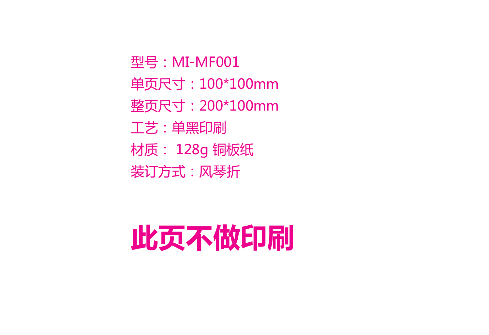型号:MI-MF001 单页尺寸:100\*100mm 整页尺寸:200\*100mm 工艺:单黑印刷 材质: 128g 铜板纸 装订方式:风琴折

## **此页不做印刷**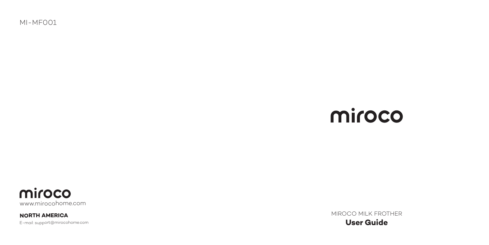MI-MF001

## miroco

miroco www.mirocohome.com

E-mail: support@mirocohome.com **NORTH AMERICA**

MIROCO MILK FROTHER **User Guide**